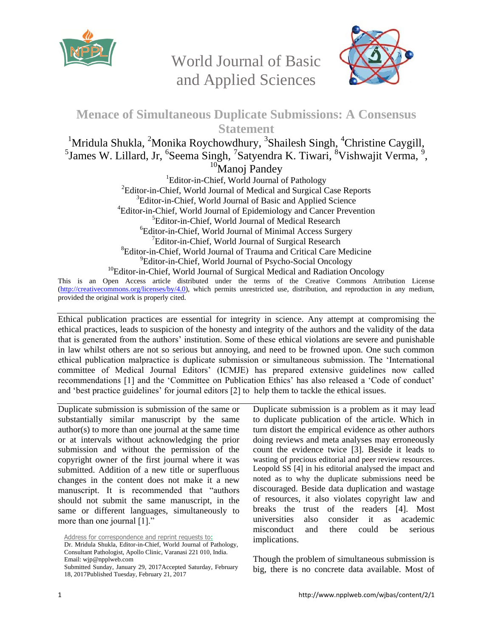

World Journal of Basic and Applied Sciences



## **Menace of Simultaneous Duplicate Submissions: A Consensus Statement**

<sup>1</sup>Mridula Shukla, <sup>2</sup>Monika Roychowdhury, <sup>3</sup>Shailesh Singh, <sup>4</sup>Christine Caygill,  $^5$ James W. Lillard, Jr,  $^6$ Seema Singh,  $^7$ Satyendra K. Tiwari,  $^8$ Vishwajit Verma,  $^9$ ,  $10$ Manoj Pandey

<sup>1</sup>Editor-in-Chief, World Journal of Pathology  ${}^{2}$ Editor-in-Chief, World Journal of Medical and Surgical Case Reports <sup>3</sup>Editor-in-Chief, World Journal of Basic and Applied Science <sup>4</sup>Editor-in-Chief, World Journal of Epidemiology and Cancer Prevention <sup>5</sup>Editor-in-Chief, World Journal of Medical Research <sup>6</sup>Editor-in-Chief, World Journal of Minimal Access Surgery <sup>7</sup>Editor-in-Chief, World Journal of Surgical Research <sup>8</sup>Editor-in-Chief, World Journal of Trauma and Critical Care Medicine <sup>9</sup>Editor-in-Chief, World Journal of Psycho-Social Oncology <sup>10</sup>Editor-in-Chief, World Journal of Surgical Medical and Radiation Oncology

This is an Open Access article distributed under the terms of the Creative Commons Attribution License [\(http://creativecommons.org/licenses/by/4.0\)](http://creativecommons.org/licenses/by/4.0), which permits unrestricted use, distribution, and reproduction in any medium, provided the original work is properly cited.

Ethical publication practices are essential for integrity in science. Any attempt at compromising the ethical practices, leads to suspicion of the honesty and integrity of the authors and the validity of the data that is generated from the authors' institution. Some of these ethical violations are severe and punishable in law whilst others are not so serious but annoying, and need to be frowned upon. One such common ethical publication malpractice is duplicate submission or simultaneous submission. The 'International committee of Medical Journal Editors' (ICMJE) has prepared extensive guidelines now called recommendations [1] and the 'Committee on Publication Ethics' has also released a 'Code of conduct' and 'best practice guidelines' for journal editors [2] to help them to tackle the ethical issues.

Duplicate submission is submission of the same or substantially similar manuscript by the same author(s) to more than one journal at the same time or at intervals without acknowledging the prior submission and without the permission of the copyright owner of the first journal where it was submitted. Addition of a new title or superfluous changes in the content does not make it a new manuscript. It is recommended that "authors should not submit the same manuscript, in the same or different languages, simultaneously to more than one journal [1]."

Duplicate submission is a problem as it may lead to duplicate publication of the article. Which in turn distort the empirical evidence as other authors doing reviews and meta analyses may erroneously count the evidence twice [3]. Beside it leads to wasting of precious editorial and peer review resources. Leopold SS [4] in his editorial analysed the impact and noted as to why the duplicate submissions need be discouraged. Beside data duplication and wastage of resources, it also violates copyright law and breaks the trust of the readers [4]. Most universities also consider it as academic misconduct and there could be serious implications.

Though the problem of simultaneous submission is big, there is no concrete data available. Most of

Address for correspondence and reprint requests to:

Dr. Mridula Shukla, Editor-in-Chief, World Journal of Pathology, Consultant Pathologist, Apollo Clinic, Varanasi 221 010, India. Email: wjp@npplweb.com

Submitted Sunday, January 29, 2017Accepted Saturday, February 18, 2017Published Tuesday, February 21, 2017